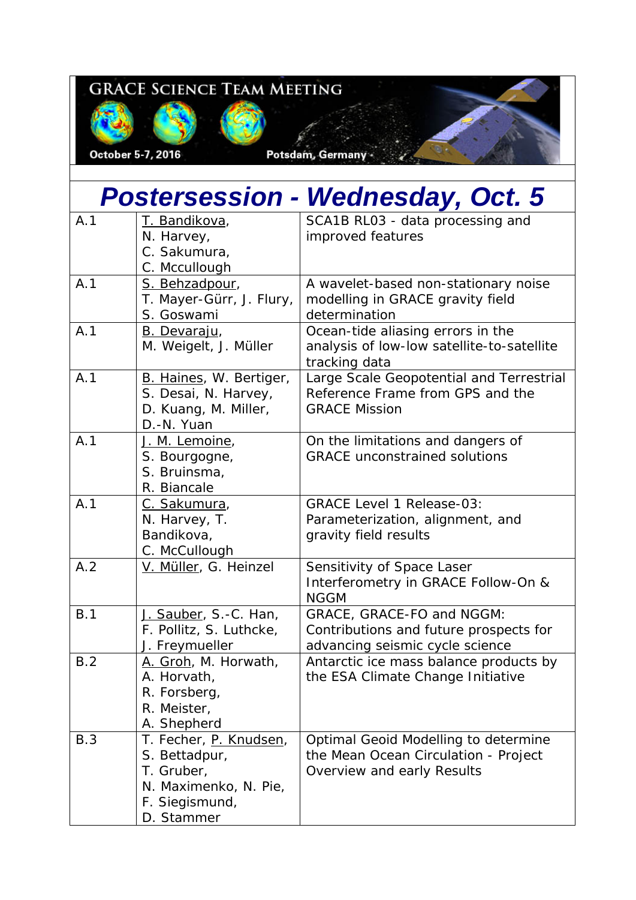## **GRACE SCIENCE TEAM MEETING**

October 5-7, 2016

Potsdam, Germany -

| <b>Postersession - Wednesday, Oct. 5</b> |                                                                                                                |                                                                                                            |  |
|------------------------------------------|----------------------------------------------------------------------------------------------------------------|------------------------------------------------------------------------------------------------------------|--|
| A.1                                      | T. Bandikova,<br>N. Harvey,<br>C. Sakumura,<br>C. Mccullough                                                   | SCA1B RL03 - data processing and<br>improved features                                                      |  |
| A.1                                      | S. Behzadpour,<br>T. Mayer-Gürr, J. Flury,<br>S. Goswami                                                       | A wavelet-based non-stationary noise<br>modelling in GRACE gravity field<br>determination                  |  |
| A.1                                      | <b>B.</b> Devaraju,<br>M. Weigelt, J. Müller                                                                   | Ocean-tide aliasing errors in the<br>analysis of low-low satellite-to-satellite<br>tracking data           |  |
| A.1                                      | B. Haines, W. Bertiger,<br>S. Desai, N. Harvey,<br>D. Kuang, M. Miller,<br>D.-N. Yuan                          | Large Scale Geopotential and Terrestrial<br>Reference Frame from GPS and the<br><b>GRACE Mission</b>       |  |
| A.1                                      | J. M. Lemoine,<br>S. Bourgogne,<br>S. Bruinsma,<br>R. Biancale                                                 | On the limitations and dangers of<br><b>GRACE</b> unconstrained solutions                                  |  |
| A.1                                      | C. Sakumura,<br>N. Harvey, T.<br>Bandikova,<br>C. McCullough                                                   | <b>GRACE Level 1 Release-03:</b><br>Parameterization, alignment, and<br>gravity field results              |  |
| A.2                                      | V. Müller, G. Heinzel                                                                                          | Sensitivity of Space Laser<br>Interferometry in GRACE Follow-On &<br><b>NGGM</b>                           |  |
| B.1                                      | J. Sauber, S.-C. Han,<br>F. Pollitz, S. Luthcke,<br>J. Freymueller                                             | GRACE, GRACE-FO and NGGM:<br>Contributions and future prospects for<br>advancing seismic cycle science     |  |
| B.2                                      | A. Groh, M. Horwath,<br>A. Horvath,<br>R. Forsberg,<br>R. Meister,<br>A. Shepherd                              | Antarctic ice mass balance products by<br>the ESA Climate Change Initiative                                |  |
| B.3                                      | T. Fecher, P. Knudsen,<br>S. Bettadpur,<br>T. Gruber,<br>N. Maximenko, N. Pie,<br>F. Siegismund,<br>D. Stammer | Optimal Geoid Modelling to determine<br>the Mean Ocean Circulation - Project<br>Overview and early Results |  |